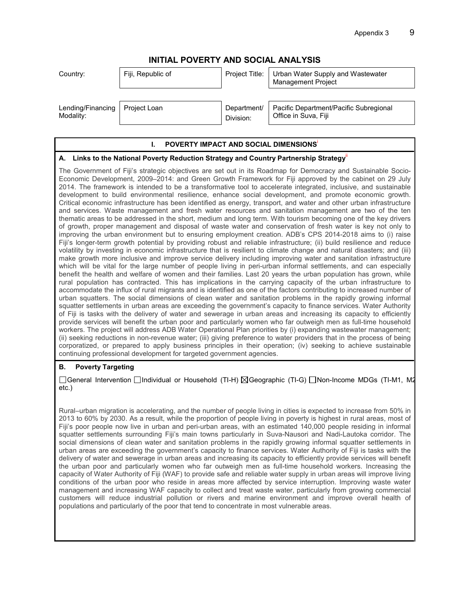# **INITIAL POVERTY AND SOCIAL ANALYSIS**

| Country:          | Fiji, Republic of | Project Title: | Urban Water Supply and Wastewater<br><b>Management Project</b> |
|-------------------|-------------------|----------------|----------------------------------------------------------------|
| Lending/Financing | Project Loan      | Department/    | Pacific Department/Pacific Subregional                         |
| Modality:         |                   | Division:      | Office in Suva, Fiji                                           |

#### **I. POVERTY IMPACT AND SOCIAL DIMENSIONS**

#### **A. Links to the National Poverty Reduction Strategy and Country Partnership Strategy**ii

The Government of Fiji's strategic objectives are set out in its Roadmap for Democracy and Sustainable Socio-Economic Development, 2009–2014: and Green Growth Framework for Fiji approved by the cabinet on 29 July 2014. The framework is intended to be a transformative tool to accelerate integrated, inclusive, and sustainable development to build environmental resilience, enhance social development, and promote economic growth. Critical economic infrastructure has been identified as energy, transport, and water and other urban infrastructure and services. Waste management and fresh water resources and sanitation management are two of the ten thematic areas to be addressed in the short, medium and long term. With tourism becoming one of the key drivers of growth, proper management and disposal of waste water and conservation of fresh water is key not only to improving the urban environment but to ensuring employment creation. ADB's CPS 2014-2018 aims to (i) raise Fiji's longer-term growth potential by providing robust and reliable infrastructure; (ii) build resilience and reduce volatility by investing in economic infrastructure that is resilient to climate change and natural disasters; and (iii) make growth more inclusive and improve service delivery including improving water and sanitation infrastructure which will be vital for the large number of people living in peri-urban informal settlements, and can especially benefit the health and welfare of women and their families. Last 20 years the urban population has grown, while rural population has contracted. This has implications in the carrying capacity of the urban infrastructure to accommodate the influx of rural migrants and is identified as one of the factors contributing to increased number of urban squatters. The social dimensions of clean water and sanitation problems in the rapidly growing informal squatter settlements in urban areas are exceeding the government's capacity to finance services. Water Authority of Fiji is tasks with the delivery of water and sewerage in urban areas and increasing its capacity to efficiently provide services will benefit the urban poor and particularly women who far outweigh men as full-time household workers. The project will address ADB Water Operational Plan priorities by (i) expanding wastewater management; (ii) seeking reductions in non-revenue water; (iii) giving preference to water providers that in the process of being corporatized, or prepared to apply business principles in their operation; (iv) seeking to achieve sustainable continuing professional development for targeted government agencies.

## **B. Poverty Targeting**

#### □General Intervention □Individual or Household (TI-H) ⊠Geographic (TI-G) □Non-Income MDGs (TI-M1, M2 etc.)

Rural–urban migration is accelerating, and the number of people living in cities is expected to increase from 50% in 2013 to 60% by 2030. As a result, while the proportion of people living in poverty is highest in rural areas, most of Fiji's poor people now live in urban and peri-urban areas, with an estimated 140,000 people residing in informal squatter settlements surrounding Fiji's main towns particularly in Suva-Nausori and Nadi-Lautoka corridor. The social dimensions of clean water and sanitation problems in the rapidly growing informal squatter settlements in urban areas are exceeding the government's capacity to finance services. Water Authority of Fiji is tasks with the delivery of water and sewerage in urban areas and increasing its capacity to efficiently provide services will benefit the urban poor and particularly women who far outweigh men as full-time household workers. Increasing the capacity of Water Authority of Fiji (WAF) to provide safe and reliable water supply in urban areas will improve living conditions of the urban poor who reside in areas more affected by service interruption. Improving waste water management and increasing WAF capacity to collect and treat waste water, particularly from growing commercial customers will reduce industrial pollution or rivers and marine environment and improve overall health of populations and particularly of the poor that tend to concentrate in most vulnerable areas.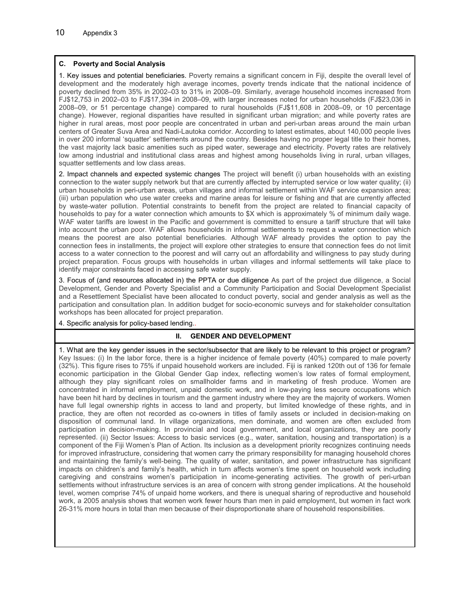### **C. Poverty and Social Analysis**

1. Key issues and potential beneficiaries. Poverty remains a significant concern in Fiji, despite the overall level of development and the moderately high average incomes, poverty trends indicate that the national incidence of poverty declined from 35% in 2002–03 to 31% in 2008–09. Similarly, average household incomes increased from FJ\$12,753 in 2002–03 to FJ\$17,394 in 2008–09, with larger increases noted for urban households (FJ\$23,036 in 2008–09, or 51 percentage change) compared to rural households (FJ\$11,608 in 2008–09, or 10 percentage change). However, regional disparities have resulted in significant urban migration; and while poverty rates are higher in rural areas, most poor people are concentrated in urban and peri-urban areas around the main urban centers of Greater Suva Area and Nadi-Lautoka corridor. According to latest estimates, about 140,000 people lives in over 200 informal 'squatter' settlements around the country. Besides having no proper legal title to their homes, the vast majority lack basic amenities such as piped water, sewerage and electricity. Poverty rates are relatively low among industrial and institutional class areas and highest among households living in rural, urban villages, squatter settlements and low class areas.

2. Impact channels and expected systemic changes The project will benefit (i) urban households with an existing connection to the water supply network but that are currently affected by interrupted service or low water quality; (ii) urban households in peri-urban areas, urban villages and informal settlement within WAF service expansion area; (iii) urban population who use water creeks and marine areas for leisure or fishing and that are currently affected by waste-water pollution. Potential constraints to benefit from the project are related to financial capacity of households to pay for a water connection which amounts to \$X which is approximately % of minimum daily wage. WAF water tariffs are lowest in the Pacific and government is committed to ensure a tariff structure that will take into account the urban poor. WAF allows households in informal settlements to request a water connection which means the poorest are also potential beneficiaries. Although WAF already provides the option to pay the connection fees in installments, the project will explore other strategies to ensure that connection fees do not limit access to a water connection to the poorest and will carry out an affordability and willingness to pay study during project preparation. Focus groups with households in urban villages and informal settlements will take place to identify major constraints faced in accessing safe water supply.

3. Focus of (and resources allocated in) the PPTA or due diligence As part of the project due diligence, a Social Development, Gender and Poverty Specialist and a Community Participation and Social Development Specialist and a Resettlement Specialist have been allocated to conduct poverty, social and gender analysis as well as the participation and consultation plan. In addition budget for socio-economic surveys and for stakeholder consultation workshops has been allocated for project preparation.

4. Specific analysis for policy-based lending..

## **II. GENDER AND DEVELOPMENT**

1. What are the key gender issues in the sector/subsector that are likely to be relevant to this project or program? Key Issues: (i) In the labor force, there is a higher incidence of female poverty (40%) compared to male poverty (32%). This figure rises to 75% if unpaid household workers are included. Fiji is ranked 120th out of 136 for female economic participation in the Global Gender Gap index, reflecting women's low rates of formal employment, although they play significant roles on smallholder farms and in marketing of fresh produce. Women are concentrated in informal employment, unpaid domestic work, and in low-paying less secure occupations which have been hit hard by declines in tourism and the garment industry where they are the majority of workers. Women have full legal ownership rights in access to land and property, but limited knowledge of these rights, and in practice, they are often not recorded as co-owners in titles of family assets or included in decision-making on disposition of communal land. In village organizations, men dominate, and women are often excluded from participation in decision-making. In provincial and local government, and local organizations, they are poorly represented. (ii) Sector Issues: Access to basic services (e.g., water, sanitation, housing and transportation) is a component of the Fiji Women's Plan of Action. Its inclusion as a development priority recognizes continuing needs for improved infrastructure, considering that women carry the primary responsibility for managing household chores and maintaining the family's well-being. The quality of water, sanitation, and power infrastructure has significant impacts on children's and family's health, which in turn affects women's time spent on household work including caregiving and constrains women's participation in income-generating activities. The growth of peri-urban settlements without infrastructure services is an area of concern with strong gender implications. At the household level, women comprise 74% of unpaid home workers, and there is unequal sharing of reproductive and household work, a 2005 analysis shows that women work fewer hours than men in paid employment, but women in fact work 26-31% more hours in total than men because of their disproportionate share of household responsibilities.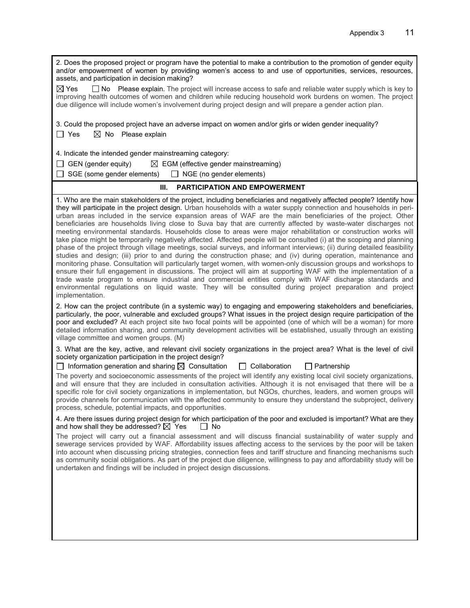2. Does the proposed project or program have the potential to make a contribution to the promotion of gender equity and/or empowerment of women by providing women's access to and use of opportunities, services, resources, assets, and participation in decision making?  $\boxtimes$  Yes  $\Box$  No Please explain. The project will increase access to safe and reliable water supply which is key to improving health outcomes of women and children while reducing household work burdens on women. The project due diligence will include women's involvement during project design and will prepare a gender action plan. 3. Could the proposed project have an adverse impact on women and/or girls or widen gender inequality?  $\Box$  Yes  $\boxtimes$  No Please explain 4. Indicate the intended gender mainstreaming category:  $\Box$  GEN (gender equity)  $\Box$  EGM (effective gender mainstreaming)  $\Box$  SGE (some gender elements)  $\Box$  NGE (no gender elements) **III. PARTICIPATION AND EMPOWERMENT** 1. Who are the main stakeholders of the project, including beneficiaries and negatively affected people? Identify how they will participate in the project design. Urban households with a water supply connection and households in periurban areas included in the service expansion areas of WAF are the main beneficiaries of the project. Other beneficiaries are households living close to Suva bay that are currently affected by waste-water discharges not meeting environmental standards. Households close to areas were major rehabilitation or construction works will take place might be temporarily negatively affected. Affected people will be consulted (i) at the scoping and planning phase of the project through village meetings, social surveys, and informant interviews; (ii) during detailed feasibility studies and design; (iii) prior to and during the construction phase; and (iv) during operation, maintenance and monitoring phase. Consultation will particularly target women, with women-only discussion groups and workshops to ensure their full engagement in discussions. The project will aim at supporting WAF with the implementation of a trade waste program to ensure industrial and commercial entities comply with WAF discharge standards and environmental regulations on liquid waste. They will be consulted during project preparation and project implementation. 2. How can the project contribute (in a systemic way) to engaging and empowering stakeholders and beneficiaries, particularly, the poor, vulnerable and excluded groups? What issues in the project design require participation of the poor and excluded? At each project site two focal points will be appointed (one of which will be a woman) for more detailed information sharing, and community development activities will be established, usually through an existing village committee and women groups. (M) 3. What are the key, active, and relevant civil society organizations in the project area? What is the level of civil society organization participation in the project design?  $\Box$  Information generation and sharing  $\boxtimes$  Consultation  $\Box$  Collaboration  $\Box$  Partnership The poverty and socioeconomic assessments of the project will identify any existing local civil society organizations, and will ensure that they are included in consultation activities. Although it is not envisaged that there will be a specific role for civil society organizations in implementation, but NGOs, churches, leaders, and women groups will provide channels for communication with the affected community to ensure they understand the subproject, delivery process, schedule, potential impacts, and opportunities. 4. Are there issues during project design for which participation of the poor and excluded is important? What are they and how shall they be addressed?  $\boxtimes$  Yes  $\Box$  No The project will carry out a financial assessment and will discuss financial sustainability of water supply and sewerage services provided by WAF. Affordability issues affecting access to the services by the poor will be taken into account when discussing pricing strategies, connection fees and tariff structure and financing mechanisms such as community social obligations. As part of the project due diligence, willingness to pay and affordability study will be undertaken and findings will be included in project design discussions.